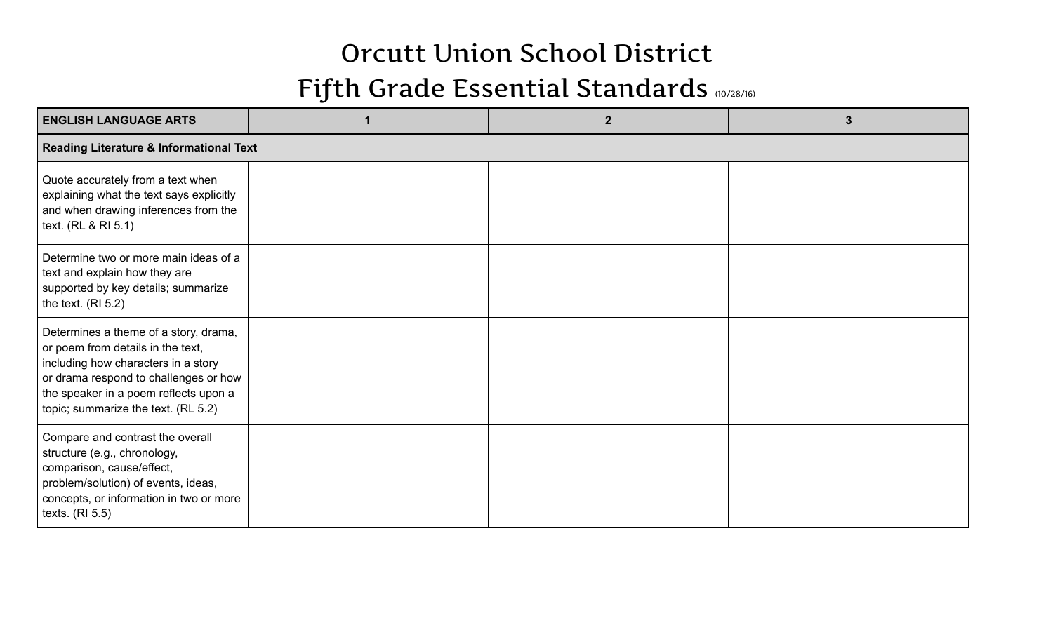## Orcutt Union School District

## Fifth Grade Essential Standards (10/28/16)

| <b>ENGLISH LANGUAGE ARTS</b>                                                                                                                                                                                                               |  | $\mathbf{2}$ | 3 |  |  |  |
|--------------------------------------------------------------------------------------------------------------------------------------------------------------------------------------------------------------------------------------------|--|--------------|---|--|--|--|
| <b>Reading Literature &amp; Informational Text</b>                                                                                                                                                                                         |  |              |   |  |  |  |
| Quote accurately from a text when<br>explaining what the text says explicitly<br>and when drawing inferences from the<br>text. (RL & RI 5.1)                                                                                               |  |              |   |  |  |  |
| Determine two or more main ideas of a<br>text and explain how they are<br>supported by key details; summarize<br>the text. $(RI 5.2)$                                                                                                      |  |              |   |  |  |  |
| Determines a theme of a story, drama,<br>or poem from details in the text,<br>including how characters in a story<br>or drama respond to challenges or how<br>the speaker in a poem reflects upon a<br>topic; summarize the text. (RL 5.2) |  |              |   |  |  |  |
| Compare and contrast the overall<br>structure (e.g., chronology,<br>comparison, cause/effect,<br>problem/solution) of events, ideas,<br>concepts, or information in two or more<br>texts. $(RI 5.5)$                                       |  |              |   |  |  |  |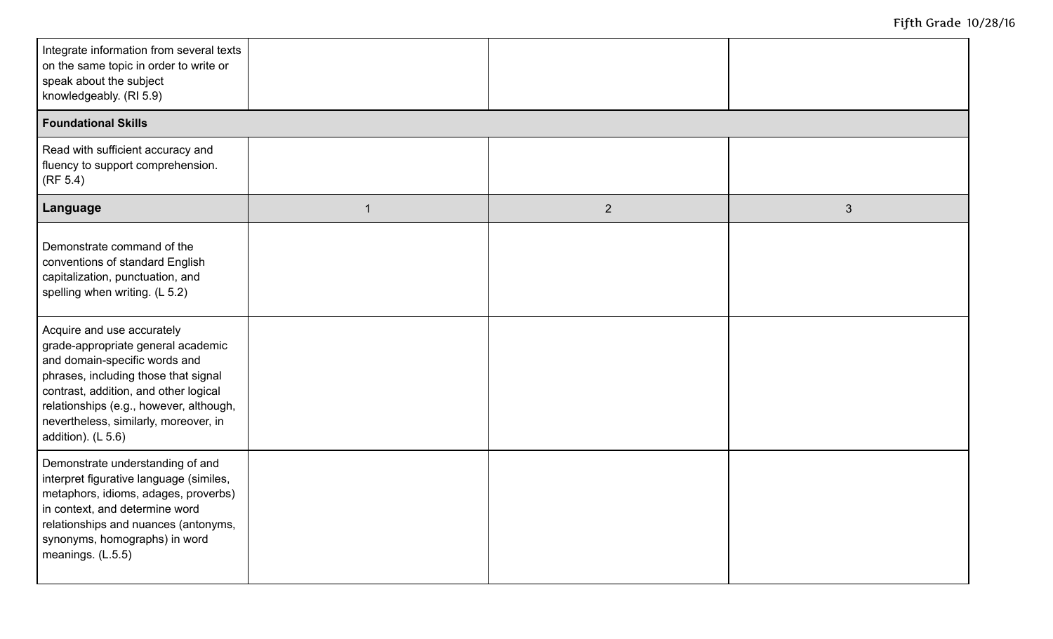| Integrate information from several texts<br>on the same topic in order to write or<br>speak about the subject<br>knowledgeably. (RI 5.9)                                                                                                                                                       |              |             |                |  |  |  |
|------------------------------------------------------------------------------------------------------------------------------------------------------------------------------------------------------------------------------------------------------------------------------------------------|--------------|-------------|----------------|--|--|--|
| <b>Foundational Skills</b>                                                                                                                                                                                                                                                                     |              |             |                |  |  |  |
| Read with sufficient accuracy and<br>fluency to support comprehension.<br>(RF 5.4)                                                                                                                                                                                                             |              |             |                |  |  |  |
| Language                                                                                                                                                                                                                                                                                       | $\mathbf{1}$ | $2^{\circ}$ | $\mathfrak{S}$ |  |  |  |
| Demonstrate command of the<br>conventions of standard English<br>capitalization, punctuation, and<br>spelling when writing. (L 5.2)                                                                                                                                                            |              |             |                |  |  |  |
| Acquire and use accurately<br>grade-appropriate general academic<br>and domain-specific words and<br>phrases, including those that signal<br>contrast, addition, and other logical<br>relationships (e.g., however, although,<br>nevertheless, similarly, moreover, in<br>addition). $(L 5.6)$ |              |             |                |  |  |  |
| Demonstrate understanding of and<br>interpret figurative language (similes,<br>metaphors, idioms, adages, proverbs)<br>in context, and determine word<br>relationships and nuances (antonyms,<br>synonyms, homographs) in word<br>meanings. (L.5.5)                                            |              |             |                |  |  |  |